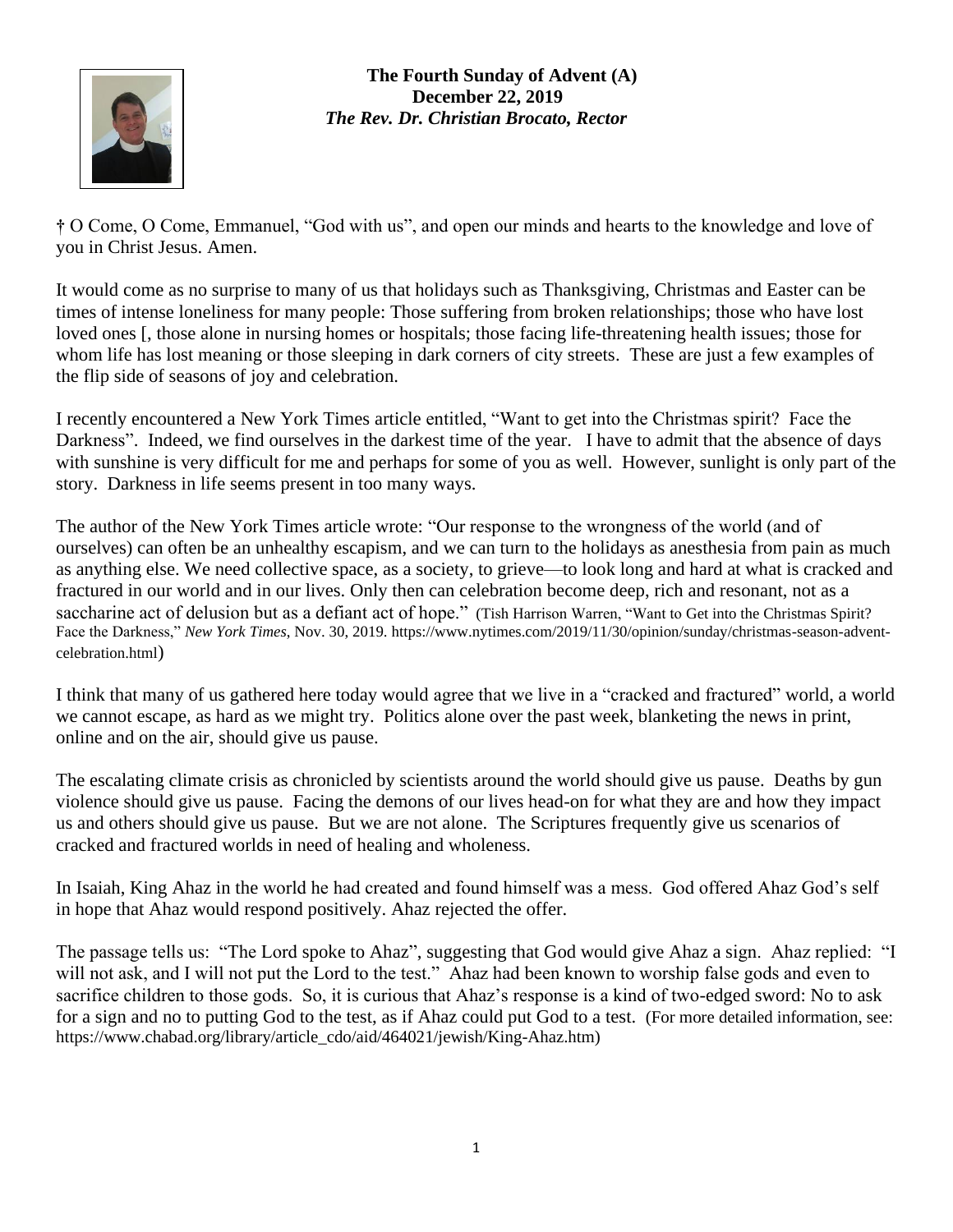

**The Fourth Sunday of Advent (A) December 22, 2019** *The Rev. Dr. Christian Brocato, Rector*

**†** O Come, O Come, Emmanuel, "God with us", and open our minds and hearts to the knowledge and love of you in Christ Jesus. Amen.

It would come as no surprise to many of us that holidays such as Thanksgiving, Christmas and Easter can be times of intense loneliness for many people: Those suffering from broken relationships; those who have lost loved ones [, those alone in nursing homes or hospitals; those facing life-threatening health issues; those for whom life has lost meaning or those sleeping in dark corners of city streets. These are just a few examples of the flip side of seasons of joy and celebration.

I recently encountered a New York Times article entitled, "Want to get into the Christmas spirit? Face the Darkness". Indeed, we find ourselves in the darkest time of the year. I have to admit that the absence of days with sunshine is very difficult for me and perhaps for some of you as well. However, sunlight is only part of the story. Darkness in life seems present in too many ways.

The author of the New York Times article wrote: "Our response to the wrongness of the world (and of ourselves) can often be an unhealthy escapism, and we can turn to the holidays as anesthesia from pain as much as anything else. We need collective space, as a society, to grieve—to look long and hard at what is cracked and fractured in our world and in our lives. Only then can celebration become deep, rich and resonant, not as a saccharine act of delusion but as a defiant act of hope." (Tish Harrison Warren, "Want to Get into the Christmas Spirit? Face the Darkness," *New York Times*, Nov. 30, 2019. [https://www.nytimes.com/2019/11/30/opinion/sunday/christmas-season-advent](https://www.nytimes.com/2019/11/30/opinion/sunday/christmas-season-advent-celebration.html)[celebration.html](https://www.nytimes.com/2019/11/30/opinion/sunday/christmas-season-advent-celebration.html))

I think that many of us gathered here today would agree that we live in a "cracked and fractured" world, a world we cannot escape, as hard as we might try. Politics alone over the past week, blanketing the news in print, online and on the air, should give us pause.

The escalating climate crisis as chronicled by scientists around the world should give us pause. Deaths by gun violence should give us pause. Facing the demons of our lives head-on for what they are and how they impact us and others should give us pause. But we are not alone. The Scriptures frequently give us scenarios of cracked and fractured worlds in need of healing and wholeness.

In Isaiah, King Ahaz in the world he had created and found himself was a mess. God offered Ahaz God's self in hope that Ahaz would respond positively. Ahaz rejected the offer.

The passage tells us: "The Lord spoke to Ahaz", suggesting that God would give Ahaz a sign. Ahaz replied: "I will not ask, and I will not put the Lord to the test." Ahaz had been known to worship false gods and even to sacrifice children to those gods. So, it is curious that Ahaz's response is a kind of two-edged sword: No to ask for a sign and no to putting God to the test, as if Ahaz could put God to a test. (For more detailed information, see: [https://www.chabad.org/library/article\\_cdo/aid/464021/jewish/King-Ahaz.htm\)](https://www.chabad.org/library/article_cdo/aid/464021/jewish/King-Ahaz.htm)